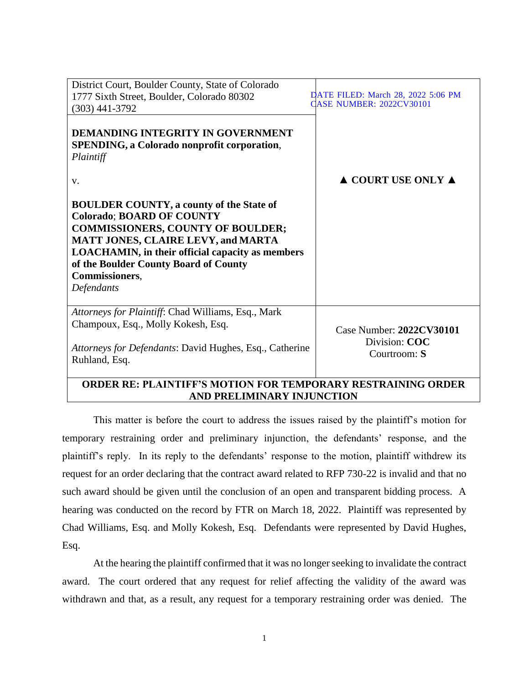| District Court, Boulder County, State of Colorado                                                                                                                                                                                                                                                                |                                                           |
|------------------------------------------------------------------------------------------------------------------------------------------------------------------------------------------------------------------------------------------------------------------------------------------------------------------|-----------------------------------------------------------|
| 1777 Sixth Street, Boulder, Colorado 80302                                                                                                                                                                                                                                                                       | DATE FILED: March 28, 2022 5:06 PM                        |
| $(303)$ 441-3792                                                                                                                                                                                                                                                                                                 | <b>CASE NUMBER: 2022CV30101</b>                           |
| DEMANDING INTEGRITY IN GOVERNMENT<br>SPENDING, a Colorado nonprofit corporation,<br>Plaintiff                                                                                                                                                                                                                    |                                                           |
| V.                                                                                                                                                                                                                                                                                                               | $\triangle$ COURT USE ONLY $\triangle$                    |
| <b>BOULDER COUNTY, a county of the State of</b><br><b>Colorado; BOARD OF COUNTY</b><br><b>COMMISSIONERS, COUNTY OF BOULDER;</b><br><b>MATT JONES, CLAIRE LEVY, and MARTA</b><br><b>LOACHAMIN, in their official capacity as members</b><br>of the Boulder County Board of County<br>Commissioners,<br>Defendants |                                                           |
| Attorneys for Plaintiff: Chad Williams, Esq., Mark<br>Champoux, Esq., Molly Kokesh, Esq.<br><i>Attorneys for Defendants: David Hughes, Esq., Catherine</i><br>Ruhland, Esq.                                                                                                                                      | Case Number: 2022CV30101<br>Division: COC<br>Courtroom: S |

## **ORDER RE: PLAINTIFF'S MOTION FOR TEMPORARY RESTRAINING ORDER AND PRELIMINARY INJUNCTION**

This matter is before the court to address the issues raised by the plaintiff's motion for temporary restraining order and preliminary injunction, the defendants' response, and the plaintiff's reply. In its reply to the defendants' response to the motion, plaintiff withdrew its request for an order declaring that the contract award related to RFP 730-22 is invalid and that no such award should be given until the conclusion of an open and transparent bidding process. A hearing was conducted on the record by FTR on March 18, 2022. Plaintiff was represented by Chad Williams, Esq. and Molly Kokesh, Esq. Defendants were represented by David Hughes, Esq.

At the hearing the plaintiff confirmed that it was no longer seeking to invalidate the contract award. The court ordered that any request for relief affecting the validity of the award was withdrawn and that, as a result, any request for a temporary restraining order was denied. The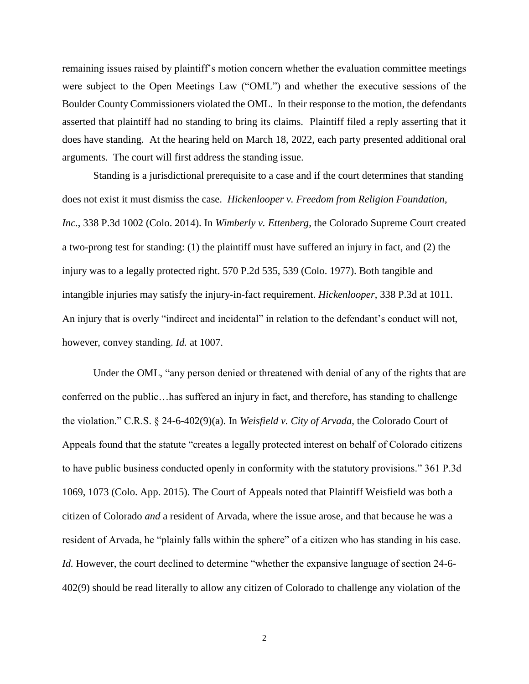remaining issues raised by plaintiff's motion concern whether the evaluation committee meetings were subject to the Open Meetings Law ("OML") and whether the executive sessions of the Boulder County Commissioners violated the OML. In their response to the motion, the defendants asserted that plaintiff had no standing to bring its claims. Plaintiff filed a reply asserting that it does have standing. At the hearing held on March 18, 2022, each party presented additional oral arguments. The court will first address the standing issue.

Standing is a jurisdictional prerequisite to a case and if the court determines that standing does not exist it must dismiss the case. *Hickenlooper v. Freedom from Religion Foundation*, *Inc.*, 338 P.3d 1002 (Colo. 2014). In *Wimberly v. Ettenberg*, the Colorado Supreme Court created a two-prong test for standing: (1) the plaintiff must have suffered an injury in fact, and (2) the injury was to a legally protected right. 570 P.2d 535, 539 (Colo. 1977). Both tangible and intangible injuries may satisfy the injury-in-fact requirement. *Hickenlooper*, 338 P.3d at 1011. An injury that is overly "indirect and incidental" in relation to the defendant's conduct will not, however, convey standing. *Id.* at 1007.

Under the OML, "any person denied or threatened with denial of any of the rights that are conferred on the public…has suffered an injury in fact, and therefore, has standing to challenge the violation." C.R.S. § 24-6-402(9)(a). In *Weisfield v. City of Arvada*, the Colorado Court of Appeals found that the statute "creates a legally protected interest on behalf of Colorado citizens to have public business conducted openly in conformity with the statutory provisions." 361 P.3d 1069, 1073 (Colo. App. 2015). The Court of Appeals noted that Plaintiff Weisfield was both a citizen of Colorado *and* a resident of Arvada, where the issue arose, and that because he was a resident of Arvada, he "plainly falls within the sphere" of a citizen who has standing in his case. *Id.* However, the court declined to determine "whether the expansive language of section 24-6- 402(9) should be read literally to allow any citizen of Colorado to challenge any violation of the

2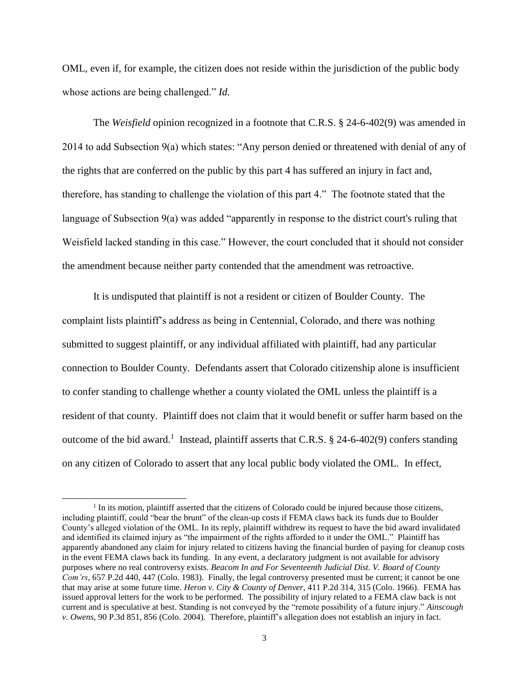OML, even if, for example, the citizen does not reside within the jurisdiction of the public body whose actions are being challenged." *Id.*

The *Weisfield* opinion recognized in a footnote that C.R.S. § 24-6-402(9) was amended in 2014 to add Subsection 9(a) which states: "Any person denied or threatened with denial of any of the rights that are conferred on the public by this part 4 has suffered an injury in fact and, therefore, has standing to challenge the violation of this part 4." The footnote stated that the language of Subsection 9(a) was added "apparently in response to the district court's ruling that Weisfield lacked standing in this case." However, the court concluded that it should not consider the amendment because neither party contended that the amendment was retroactive.

It is undisputed that plaintiff is not a resident or citizen of Boulder County. The complaint lists plaintiff's address as being in Centennial, Colorado, and there was nothing submitted to suggest plaintiff, or any individual affiliated with plaintiff, had any particular connection to Boulder County. Defendants assert that Colorado citizenship alone is insufficient to confer standing to challenge whether a county violated the OML unless the plaintiff is a resident of that county. Plaintiff does not claim that it would benefit or suffer harm based on the outcome of the bid award.<sup>1</sup> Instead, plaintiff asserts that C.R.S. § 24-6-402(9) confers standing on any citizen of Colorado to assert that any local public body violated the OML. In effect,

l

<sup>&</sup>lt;sup>1</sup> In its motion, plaintiff asserted that the citizens of Colorado could be injured because those citizens, including plaintiff, could "bear the brunt" of the clean-up costs if FEMA claws back its funds due to Boulder County's alleged violation of the OML. In its reply, plaintiff withdrew its request to have the bid award invalidated and identified its claimed injury as "the impairment of the rights afforded to it under the OML." Plaintiff has apparently abandoned any claim for injury related to citizens having the financial burden of paying for cleanup costs in the event FEMA claws back its funding. In any event, a declaratory judgment is not available for advisory purposes where no real controversy exists. *Beacom In and For Seventeenth Judicial Dist. V. Board of County Com'rs*, 657 P.2d 440, 447 (Colo. 1983). Finally, the legal controversy presented must be current; it cannot be one that may arise at some future time. *Heron v. City & County of Denver*, 411 P.2d 314, 315 (Colo. 1966). FEMA has issued approval letters for the work to be performed. The possibility of injury related to a FEMA claw back is not current and is speculative at best. Standing is not conveyed by the "remote possibility of a future injury." *Ainscough v. Owens*, 90 P.3d 851, 856 (Colo. 2004). Therefore, plaintiff's allegation does not establish an injury in fact.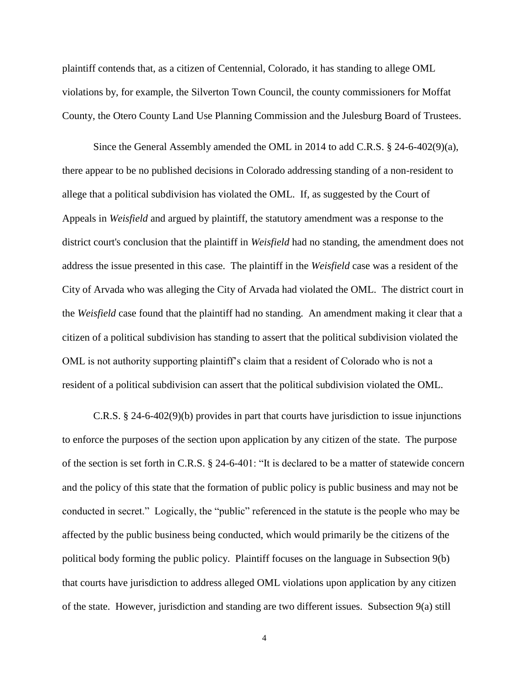plaintiff contends that, as a citizen of Centennial, Colorado, it has standing to allege OML violations by, for example, the Silverton Town Council, the county commissioners for Moffat County, the Otero County Land Use Planning Commission and the Julesburg Board of Trustees.

Since the General Assembly amended the OML in 2014 to add C.R.S. § 24-6-402(9)(a), there appear to be no published decisions in Colorado addressing standing of a non-resident to allege that a political subdivision has violated the OML. If, as suggested by the Court of Appeals in *Weisfield* and argued by plaintiff, the statutory amendment was a response to the district court's conclusion that the plaintiff in *Weisfield* had no standing, the amendment does not address the issue presented in this case. The plaintiff in the *Weisfield* case was a resident of the City of Arvada who was alleging the City of Arvada had violated the OML. The district court in the *Weisfield* case found that the plaintiff had no standing. An amendment making it clear that a citizen of a political subdivision has standing to assert that the political subdivision violated the OML is not authority supporting plaintiff's claim that a resident of Colorado who is not a resident of a political subdivision can assert that the political subdivision violated the OML.

C.R.S. § 24-6-402(9)(b) provides in part that courts have jurisdiction to issue injunctions to enforce the purposes of the section upon application by any citizen of the state. The purpose of the section is set forth in C.R.S. § 24-6-401: "It is declared to be a matter of statewide concern and the policy of this state that the formation of public policy is public business and may not be conducted in secret." Logically, the "public" referenced in the statute is the people who may be affected by the public business being conducted, which would primarily be the citizens of the political body forming the public policy. Plaintiff focuses on the language in Subsection 9(b) that courts have jurisdiction to address alleged OML violations upon application by any citizen of the state. However, jurisdiction and standing are two different issues. Subsection 9(a) still

4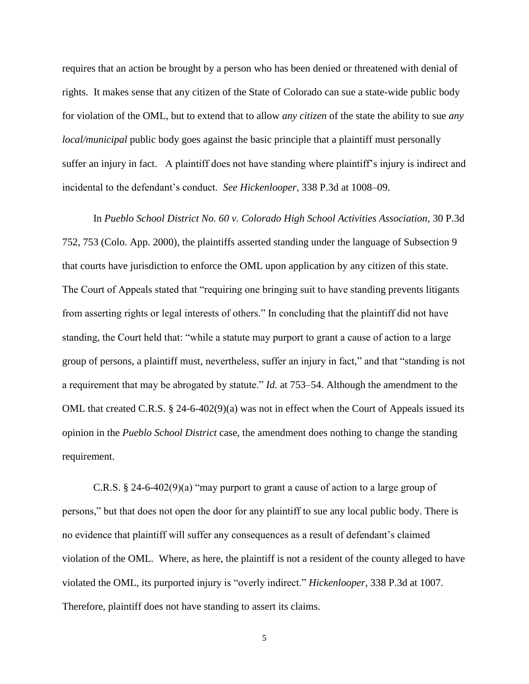requires that an action be brought by a person who has been denied or threatened with denial of rights. It makes sense that any citizen of the State of Colorado can sue a state-wide public body for violation of the OML, but to extend that to allow *any citizen* of the state the ability to sue *any local/municipal* public body goes against the basic principle that a plaintiff must personally suffer an injury in fact. A plaintiff does not have standing where plaintiff's injury is indirect and incidental to the defendant's conduct. *See Hickenlooper*, 338 P.3d at 1008–09.

In *Pueblo School District No. 60 v. Colorado High School Activities Association*, 30 P.3d 752, 753 (Colo. App. 2000), the plaintiffs asserted standing under the language of Subsection 9 that courts have jurisdiction to enforce the OML upon application by any citizen of this state. The Court of Appeals stated that "requiring one bringing suit to have standing prevents litigants from asserting rights or legal interests of others." In concluding that the plaintiff did not have standing, the Court held that: "while a statute may purport to grant a cause of action to a large group of persons, a plaintiff must, nevertheless, suffer an injury in fact," and that "standing is not a requirement that may be abrogated by statute." *Id.* at 753–54. Although the amendment to the OML that created C.R.S. § 24-6-402(9)(a) was not in effect when the Court of Appeals issued its opinion in the *Pueblo School District* case, the amendment does nothing to change the standing requirement.

C.R.S.  $\S$  24-6-402(9)(a) "may purport to grant a cause of action to a large group of persons," but that does not open the door for any plaintiff to sue any local public body. There is no evidence that plaintiff will suffer any consequences as a result of defendant's claimed violation of the OML. Where, as here, the plaintiff is not a resident of the county alleged to have violated the OML, its purported injury is "overly indirect." *Hickenlooper*, 338 P.3d at 1007. Therefore, plaintiff does not have standing to assert its claims.

5